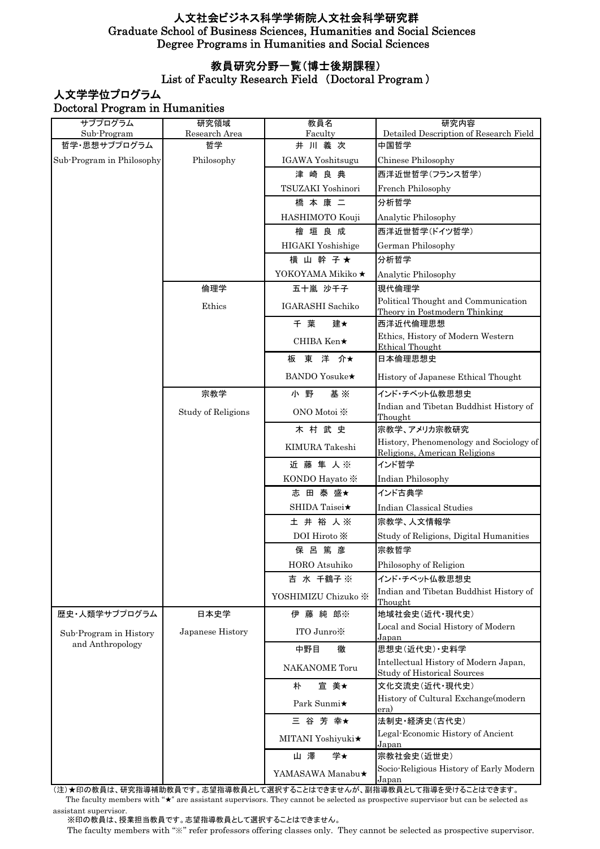### 教員研究分野一覧(博士後期課程)

#### List of Faculty Research Field (Doctoral Program )

## 人文学学位プログラム Doctoral Program in Humanities

| サブプログラム                                    | 研究領域               | 教員名                        | 研究内容                                                                        |
|--------------------------------------------|--------------------|----------------------------|-----------------------------------------------------------------------------|
| Sub-Program                                | Research Area      | Faculty                    | Detailed Description of Research Field                                      |
| 哲学・思想サブプログラム<br>Sub-Program in Philosophy  | 哲学<br>Philosophy   | 井川義次<br>IGAWA Yoshitsugu   | 中国哲学<br>Chinese Philosophy                                                  |
|                                            |                    | 津崎良典                       | 西洋近世哲学(フランス哲学)                                                              |
|                                            |                    | TSUZAKI Yoshinori          |                                                                             |
|                                            |                    |                            | French Philosophy                                                           |
|                                            |                    | 橋本康二                       | 分析哲学                                                                        |
|                                            |                    | HASHIMOTO Kouji<br>檜 垣 良 成 | Analytic Philosophy<br>西洋近世哲学(ドイツ哲学)                                        |
|                                            |                    | HIGAKI Yoshishige          | German Philosophy                                                           |
|                                            |                    | 横 山 幹 子★                   | 分析哲学                                                                        |
|                                            |                    | YOKOYAMA Mikiko ★          | Analytic Philosophy                                                         |
|                                            | 倫理学                | 五十嵐 沙千子                    | 現代倫理学                                                                       |
|                                            | Ethics             | IGARASHI Sachiko           | Political Thought and Communication<br>Theory in Postmodern Thinking        |
|                                            |                    | 千葉<br>建★                   | 西洋近代倫理思想                                                                    |
|                                            |                    | CHIBA Ken★                 | Ethics, History of Modern Western<br><b>Ethical Thought</b>                 |
|                                            |                    | 板 東 洋 介★                   | 日本倫理思想史                                                                     |
|                                            |                    | <b>BANDO</b> Yosuke★       | History of Japanese Ethical Thought                                         |
|                                            | 宗教学                | 小野<br>基 ※                  | インド・チベット仏教思想史                                                               |
|                                            | Study of Religions | ONO Motoi ※                | Indian and Tibetan Buddhist History of<br>Thought                           |
|                                            |                    | 木村武史                       | 宗教学、アメリカ宗教研究                                                                |
|                                            |                    | KIMURA Takeshi             | History, Phenomenology and Sociology of<br>Religions, American Religions    |
|                                            |                    | 近藤 隼 人※                    | インド哲学                                                                       |
|                                            |                    | KONDO Hayato *             | Indian Philosophy                                                           |
|                                            |                    | 志 田 泰 盛★                   | インド古典学                                                                      |
|                                            |                    | SHIDA Taisei★              | Indian Classical Studies                                                    |
|                                            |                    | 土井裕人※                      | 宗教学、人文情報学                                                                   |
|                                            |                    | DOI Hiroto X               | Study of Religions, Digital Humanities                                      |
|                                            |                    | 保呂篤彦                       | 宗教哲学                                                                        |
|                                            |                    | HORO Atsuhiko              | Philosophy of Religion                                                      |
|                                            |                    | 吉 水 千鶴子※                   | インド・チベット仏教思想史                                                               |
|                                            |                    | YOSHIMIZU Chizuko ※        | Indian and Tibetan Buddhist History of<br>Thought                           |
| 歴史・人類学サブプログラム                              | 日本史学               | 伊藤純郎※                      | 地域社会史(近代·現代史)                                                               |
| Sub-Program in History<br>and Anthropology | Japanese History   | ITO Junro                  | Local and Social History of Modern<br>Japan                                 |
|                                            |                    | 中野目<br>徹                   | 思想史(近代史) · 史料学                                                              |
|                                            |                    | <b>NAKANOME</b> Toru       | Intellectual History of Modern Japan,<br><b>Study of Historical Sources</b> |
|                                            |                    | 宜 美★<br>朴                  | 文化交流史(近代·現代史)                                                               |
|                                            |                    | Park Sunmi★                | History of Cultural Exchange(modern<br>era)                                 |
|                                            |                    | 三 谷 芳 幸★                   | 法制史·経済史(古代史)                                                                |
|                                            |                    | MITANI Yoshiyuki★          | Legal-Economic History of Ancient<br>Japan                                  |
|                                            |                    | 山澤<br>学★                   | 宗教社会史(近世史)                                                                  |
|                                            |                    | YAMASAWA Manabu★           | Socio-Religious History of Early Modern<br>Japan                            |

 The faculty members with "★" are assistant supervisors. They cannot be selected as prospective supervisor but can be selected as assistant supervisor. (注)★印の教員は、研究指導補助教員です。志望指導教員として選択することはできませんが、副指導教員として指導を受けることはできます。

※印の教員は、授業担当教員です。志望指導教員として選択することはできません。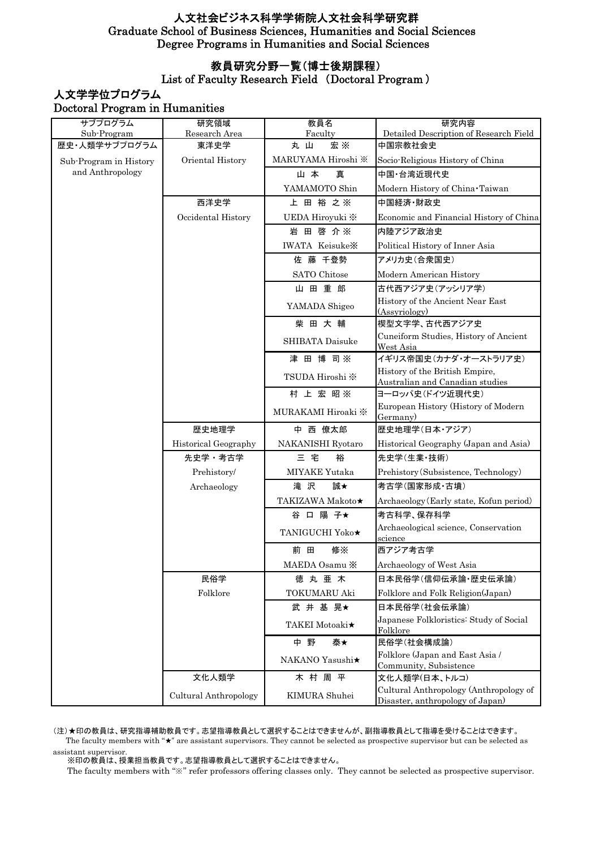### 教員研究分野一覧(博士後期課程)

#### List of Faculty Research Field (Doctoral Program )

### 人文学学位プログラム Doctoral Program in Humanities

| サブプログラム                | 研究領域                  | 教員名                               | 研究内容                                                                       |
|------------------------|-----------------------|-----------------------------------|----------------------------------------------------------------------------|
| Sub-Program            | Research Area         | Faculty                           | Detailed Description of Research Field                                     |
| 歴史・人類学サブプログラム          | 東洋史学                  | <b>宏 ※</b><br>丸山                  | 中国宗教社会史                                                                    |
| Sub-Program in History | Oriental History      | MARUYAMA Hiroshi ※                | Socio-Religious History of China                                           |
| and Anthropology       |                       | 山本<br>真                           | 中国 台湾近現代史                                                                  |
|                        |                       | YAMAMOTO Shin                     | Modern History of China Taiwan                                             |
|                        | 西洋史学                  | 上 田 裕 之 ※                         | 中国経済·財政史                                                                   |
|                        | Occidental History    | UEDA Hiroyuki ※                   | Economic and Financial History of China                                    |
|                        |                       | 岩 田 啓 介※                          | 内陸アジア政治史                                                                   |
|                        |                       | <b>IWATA Keisuke</b> X            | Political History of Inner Asia                                            |
|                        |                       | 佐藤 千登勢                            | アメリカ史(合衆国史)                                                                |
|                        |                       | SATO Chitose                      | Modern American History                                                    |
|                        |                       | 山田重郎                              | 古代西アジア史(アッシリア学)                                                            |
|                        |                       | YAMADA Shigeo                     | History of the Ancient Near East<br>(Assyriology)                          |
|                        |                       | 柴田大輔                              | 楔型文字学、古代西アジア史                                                              |
|                        |                       | SHIBATA Daisuke                   | Cuneiform Studies, History of Ancient<br>West Asia                         |
|                        |                       | 津 田 博 司※                          | イギリス帝国史(カナダ・オーストラリア史)                                                      |
|                        |                       | TSUDA Hiroshi ※                   | History of the British Empire,                                             |
|                        |                       | 村 上 宏 昭 ※                         | Australian and Canadian studies<br>ヨ―ロッパ史(ドイツ近現代史)                         |
|                        |                       |                                   | European History (History of Modern                                        |
|                        |                       | MURAKAMI Hiroaki ※                | Germany)                                                                   |
|                        | 歴史地理学                 | 中 西 僚太郎                           | 歴史地理学(日本・アジア)                                                              |
|                        | Historical Geography  | NAKANISHI Ryotaro                 | Historical Geography (Japan and Asia)                                      |
|                        | 先史学・考古学               | 三 宅<br>裕                          | 先史学(生業·技術)                                                                 |
|                        | Prehistory/           | MIYAKE Yutaka                     | Prehistory (Subsistence, Technology)                                       |
|                        | Archaeology           | 誠★<br>滝 沢                         | 考古学(国家形成·古墳)                                                               |
|                        |                       | TAKIZAWA Makoto★                  | Archaeology (Early state, Kofun period)                                    |
|                        |                       | 谷 口 陽 子★                          | 考古科学、保存科学                                                                  |
|                        |                       | <b>TANIGUCHI Yoko</b> ★           | Archaeological science, Conservation<br>science                            |
|                        |                       | 前田<br>修※                          | 西アジア考古学                                                                    |
|                        |                       | MAEDA Osamu <b>X</b>              | Archaeology of West Asia                                                   |
|                        | 民俗学                   | 徳丸亜木                              | 日本民俗学(信仰伝承論・歴史伝承論)                                                         |
|                        | Folklore              | <b>TOKUMARU Aki</b>               | Folklore and Folk Religion(Japan)                                          |
|                        |                       | 武井基晃★                             | 日本民俗学(社会伝承論)                                                               |
|                        |                       | <b>TAKEI</b> Motoaki <sup>★</sup> | Japanese Folkloristics: Study of Social<br>Folklore                        |
|                        |                       | 中野<br>泰★                          | 民俗学(社会構成論)                                                                 |
|                        |                       | NAKANO Yasushi★                   | Folklore (Japan and East Asia /<br>Community, Subsistence                  |
|                        | 文化人類学                 | 木村周平                              | 文化人類学(日本、トルコ)                                                              |
|                        | Cultural Anthropology | KIMURA Shuhei                     | Cultural Anthropology (Anthropology of<br>Disaster, anthropology of Japan) |

 The faculty members with "★" are assistant supervisors. They cannot be selected as prospective supervisor but can be selected as assistant supervisor. (注)★印の教員は、研究指導補助教員です。志望指導教員として選択することはできませんが、副指導教員として指導を受けることはできます。

※印の教員は、授業担当教員です。志望指導教員として選択することはできません。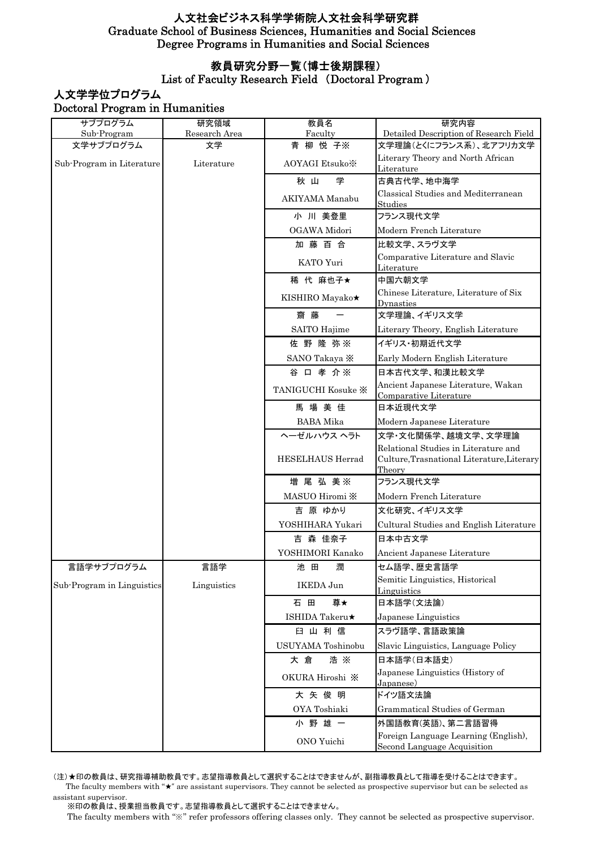### 教員研究分野一覧(博士後期課程)

### List of Faculty Research Field (Doctoral Program )

## 人文学学位プログラム Doctoral Program in Humanities

| サブプログラム                    | 研究領域                     | 教員名                  | 研究内容                                                                                         |
|----------------------------|--------------------------|----------------------|----------------------------------------------------------------------------------------------|
| Sub-Program                | Research Area<br>Faculty |                      | Detailed Description of Research Field                                                       |
| 文学サブプログラム                  | 文学                       | 青 柳 悦 子※             | 文学理論(とくにフランス系)、北アフリカ文学                                                                       |
| Sub-Program in Literature  | Literature               | <b>AOYAGI Etsuko</b> | Literary Theory and North African<br>Literature                                              |
|                            |                          | 学<br>秋山              | 古典古代学、地中海学                                                                                   |
|                            |                          | AKIYAMA Manabu       | Classical Studies and Mediterranean<br>Studies                                               |
|                            |                          | 小 川 美登里              | フランス現代文学                                                                                     |
|                            |                          | OGAWA Midori         | Modern French Literature                                                                     |
|                            |                          | 加藤百合                 | 比較文学、スラヴ文学                                                                                   |
|                            |                          | KATO Yuri            | Comparative Literature and Slavic<br>Literature                                              |
|                            |                          | 稀 代 麻也子★             | 中国六朝文学                                                                                       |
|                            |                          | KISHIRO Mayako★      | Chinese Literature, Literature of Six<br>Dynasties                                           |
|                            |                          | 齋 藤                  | 文学理論、イギリス文学                                                                                  |
|                            |                          | SAITO Hajime         | Literary Theory, English Literature                                                          |
|                            |                          | 佐野隆弥※                | イギリス・初期近代文学                                                                                  |
|                            |                          | SANO Takaya X        | Early Modern English Literature                                                              |
|                            |                          | 谷 口 孝 介※             | 日本古代文学、和漢比較文学                                                                                |
|                            |                          | TANIGUCHI Kosuke X   | Ancient Japanese Literature, Wakan<br>Comparative Literature                                 |
|                            |                          | 馬場美佳                 | 日本近現代文学                                                                                      |
|                            |                          | <b>BABA</b> Mika     | Modern Japanese Literature                                                                   |
|                            |                          | ヘーゼルハウス ヘラト          | 文学・文化関係学、越境文学、文学理論                                                                           |
|                            |                          | HESELHAUS Herrad     | Relational Studies in Literature and<br>Culture, Trasnational Literature, Literary<br>Theory |
|                            |                          | 増 尾 弘 美※             | フランス現代文学                                                                                     |
|                            |                          | MASUO Hiromi X       | Modern French Literature                                                                     |
|                            |                          | 吉 原 ゆかり              | 文化研究、イギリス文学                                                                                  |
|                            |                          | YOSHIHARA Yukari     | Cultural Studies and English Literature                                                      |
|                            |                          | 吉 森 佳奈子              | 日本中古文学                                                                                       |
|                            |                          | YOSHIMORI Kanako     | Ancient Japanese Literature                                                                  |
| 言語学サブプログラム                 | 言語学                      | 潤<br>池田              | セム語学、歴史言語学                                                                                   |
| Sub-Program in Linguistics | Linguistics              | IKEDA Jun            | Semitic Linguistics, Historical                                                              |
|                            |                          | 石田<br>尊★             | Linguistics<br>日本語学(文法論)                                                                     |
|                            |                          | ISHIDA Takeru★       | Japanese Linguistics                                                                         |
|                            |                          | 臼 山 利 信              | スラヴ語学、言語政策論                                                                                  |
|                            |                          | USUYAMA Toshinobu    | Slavic Linguistics, Language Policy                                                          |
|                            |                          | 浩 ※<br>大倉            | 日本語学(日本語史)                                                                                   |
|                            |                          | OKURA Hiroshi X      | Japanese Linguistics (History of                                                             |
|                            |                          |                      | Japanese)                                                                                    |
|                            |                          | 大矢俊明                 | ドイツ語文法論                                                                                      |
|                            |                          | OYA Toshiaki         | Grammatical Studies of German                                                                |
|                            |                          | 小野雄一                 | 外国語教育(英語)、第二言語習得                                                                             |
|                            |                          | ONO Yuichi           | Foreign Language Learning (English),<br>Second Language Acquisition                          |

(注)★印の教員は、研究指導補助教員です。志望指導教員として選択することはできませんが、副指導教員として指導を受けることはできます。 The faculty members with  $*\star$  are assistant supervisors. They cannot be selected as prospective supervisor but can be selected as assistant supervisor.

※印の教員は、授業担当教員です。志望指導教員として選択することはできません。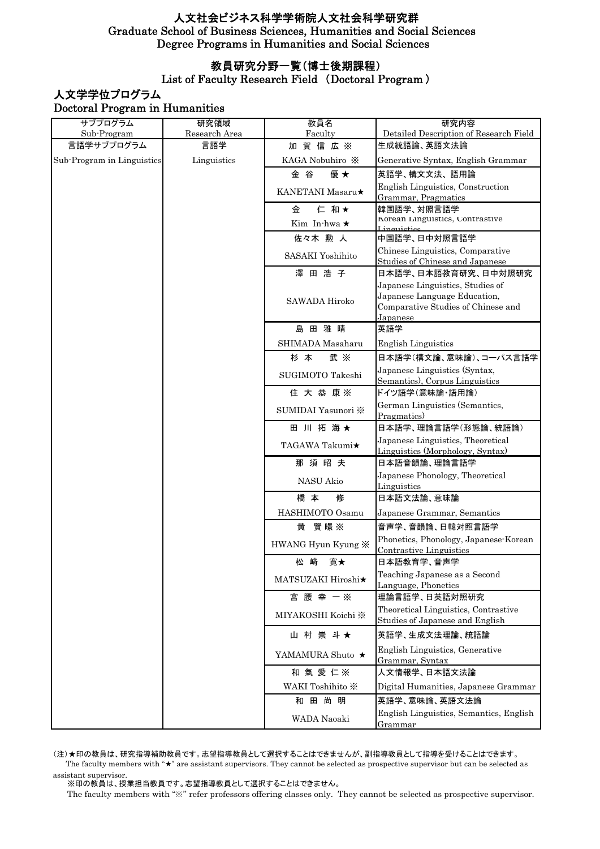### 教員研究分野一覧(博士後期課程)

### List of Faculty Research Field (Doctoral Program )

# 人文学学位プログラム Doctoral Program in Humanities

| サブプログラム                    | 研究領域          | 教員名                     | 研究内容                                                                    |
|----------------------------|---------------|-------------------------|-------------------------------------------------------------------------|
| Sub-Program                | Research Area | Faculty                 | Detailed Description of Research Field                                  |
| 言語学サブプログラム                 | 言語学           | 加賀信広※                   | 生成統語論、英語文法論                                                             |
| Sub-Program in Linguistics | Linguistics   | KAGA Nobuhiro X         | Generative Syntax, English Grammar                                      |
|                            |               | 優★<br>金 谷               | 英語学、構文文法、語用論                                                            |
|                            |               | <b>KANETANI</b> Masaru★ | English Linguistics, Construction                                       |
|                            |               | 金<br>仁 和★               | Grammar, Pragmatics<br>韓国語学、対照言語学                                       |
|                            |               | Kim In-hwa ★            | Korean Linguistics, Contrastive                                         |
|                            |               | 佐々木 勲 人                 | Linguistics<br>中国語学、日中対照言語学                                             |
|                            |               |                         | Chinese Linguistics, Comparative                                        |
|                            |               | SASAKI Yoshihito        | Studies of Chinese and Japanese                                         |
|                            |               | 澤田浩子                    | 日本語学、日本語教育研究、日中対照研究                                                     |
|                            |               |                         | Japanese Linguistics, Studies of                                        |
|                            |               | SAWADA Hiroko           | Japanese Language Education,<br>Comparative Studies of Chinese and      |
|                            |               |                         | Japanese                                                                |
|                            |               | 島田雅晴                    | 英語学                                                                     |
|                            |               | SHIMADA Masaharu        | <b>English Linguistics</b>                                              |
|                            |               | 杉本<br>武 ※               | 日本語学(構文論、意味論)、コーパス言語学                                                   |
|                            |               | SUGIMOTO Takeshi        | Japanese Linguistics (Syntax,                                           |
|                            |               | 住 大 恭 康※                | Semantics), Corpus Linguistics<br>ドイツ語学(意味論・語用論)                        |
|                            |               |                         | German Linguistics (Semantics,                                          |
|                            |               | SUMIDAI Yasunori ※      | Pragmatics)                                                             |
|                            |               | 田 川 拓 海 ★               | 日本語学、理論言語学(形態論、統語論)                                                     |
|                            |               | TAGAWA Takumi★          | Japanese Linguistics, Theoretical                                       |
|                            |               | 那須昭夫                    | Linguistics (Morphology, Syntax)<br>日本語音韻論、理論言語学                        |
|                            |               |                         | Japanese Phonology, Theoretical                                         |
|                            |               | NASU Akio               | Linguistics                                                             |
|                            |               | 修<br>橋 本                | 日本語文法論、意味論                                                              |
|                            |               | HASHIMOTO Osamu         | Japanese Grammar, Semantics                                             |
|                            |               | 黄 賢暻※                   | 音声学、音韻論、日韓対照言語学                                                         |
|                            |               | HWANG Hyun Kyung X      | Phonetics, Phonology, Japanese-Korean<br><b>Contrastive Linguistics</b> |
|                            |               | 松 崎<br>寛★               | 日本語教育学、音声学                                                              |
|                            |               | MATSUZAKI Hiroshi★      | Teaching Japanese as a Second                                           |
|                            |               | 宮腰幸一※                   | Language, Phonetics<br>理論言語学、日英語対照研究                                    |
|                            |               |                         | Theoretical Linguistics, Contrastive                                    |
|                            |               | MIYAKOSHI Koichi ※      | Studies of Japanese and English                                         |
|                            |               | 山村崇斗★                   | 英語学、生成文法理論、統語論                                                          |
|                            |               | YAMAMURA Shuto $\star$  | English Linguistics, Generative<br>Grammar, Syntax                      |
|                            |               | 和氣愛仁※                   | 人文情報学、日本語文法論                                                            |
|                            |               | WAKI Toshihito *        | Digital Humanities, Japanese Grammar                                    |
|                            |               | 和田尚明                    | 英語学、意味論、英語文法論                                                           |
|                            |               | WADA Naoaki             | English Linguistics, Semantics, English<br>Grammar                      |

(注)★印の教員は、研究指導補助教員です。志望指導教員として選択することはできませんが、副指導教員として指導を受けることはできます。

 The faculty members with "★" are assistant supervisors. They cannot be selected as prospective supervisor but can be selected as assistant supervisor.

。<br>※印の教員は、授業担当教員です。志望指導教員として選択することはできません。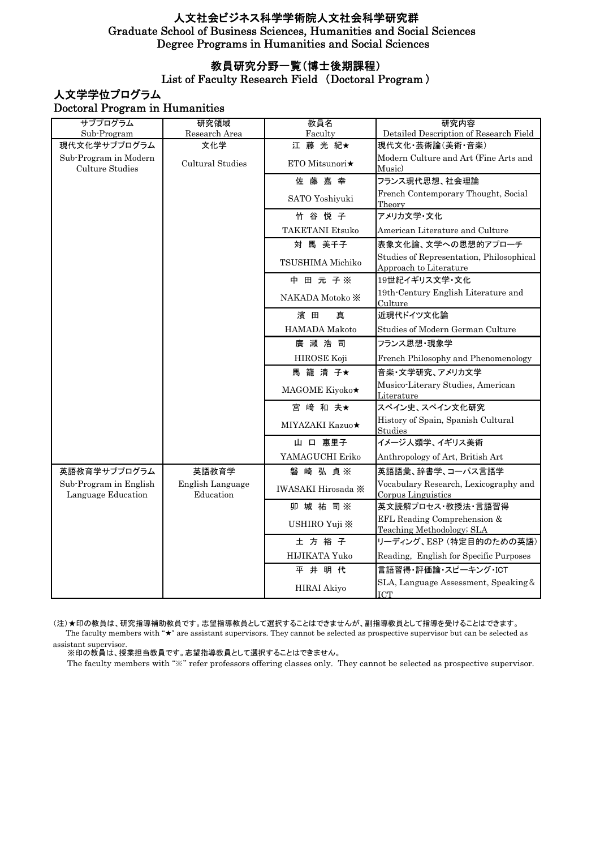### 教員研究分野一覧(博士後期課程)

#### List of Faculty Research Field (Doctoral Program )

### 人文学学位プログラム Doctoral Program in Humanities

| サブプログラム                                      | 研究領域                          | 教員名                    | 研究内容                                                               |
|----------------------------------------------|-------------------------------|------------------------|--------------------------------------------------------------------|
| Sub-Program                                  | Research Area                 | Faculty                | Detailed Description of Research Field                             |
| 現代文化学サブプログラム                                 | 文化学                           | 江藤 光紀★                 | 現代文化·芸術論(美術·音楽)                                                    |
| Sub-Program in Modern<br>Culture Studies     | Cultural Studies              | ETO Mitsunori★         | Modern Culture and Art (Fine Arts and<br>Music)                    |
|                                              |                               | 佐藤嘉幸                   | フランス現代思想、社会理論                                                      |
|                                              |                               | SATO Yoshiyuki         | French Contemporary Thought, Social<br>Theory                      |
|                                              |                               | 竹谷悦子                   | アメリカ文学・文化                                                          |
|                                              |                               | <b>TAKETANI Etsuko</b> | American Literature and Culture                                    |
|                                              |                               | 対 馬 美千子                | 表象文化論、文学への思想的アプローチ                                                 |
|                                              |                               | TSUSHIMA Michiko       | Studies of Representation, Philosophical<br>Approach to Literature |
|                                              |                               | 中 田 元 子※               | 19世紀イギリス文学·文化                                                      |
|                                              |                               | NAKADA Motoko X        | 19th-Century English Literature and<br>Culture                     |
|                                              |                               | 濱 田<br>直               | 近現代ドイツ文化論                                                          |
|                                              |                               | HAMADA Makoto          | Studies of Modern German Culture                                   |
|                                              |                               | 廣瀬浩司                   | フランス思想・現象学                                                         |
|                                              |                               | HIROSE Koji            | French Philosophy and Phenomenology                                |
|                                              |                               | 馬籠清子★                  | 音楽・文学研究、アメリカ文学                                                     |
|                                              |                               | MAGOME Kiyoko★         | Musico-Literary Studies, American<br>Literature                    |
|                                              |                               | 宮崎和夫★                  | スペイン史、スペイン文化研究                                                     |
|                                              |                               | MIYAZAKI Kazuo★        | History of Spain, Spanish Cultural<br>Studies                      |
|                                              |                               | 山 口 惠里子                | イメージ人類学、イギリス美術                                                     |
|                                              |                               | YAMAGUCHI Eriko        | Anthropology of Art, British Art                                   |
| 英語教育学サブプログラム                                 | 英語教育学                         | 磐崎 弘 貞※                | 英語語彙、辞書学、コーパス言語学                                                   |
| Sub-Program in English<br>Language Education | English Language<br>Education | IWASAKI Hirosada X     | Vocabulary Research, Lexicography and<br>Corpus Linguistics        |
|                                              |                               | 卯 城 祐 司※               | 英文読解プロセス·教授法·言語習得                                                  |
|                                              |                               | USHIRO Yuji X          | EFL Reading Comprehension &<br>Teaching Methodology; SLA           |
|                                              |                               | 土方裕子                   | リーディング、ESP (特定目的のための英語)                                            |
|                                              |                               | HIJIKATA Yuko          | Reading, English for Specific Purposes                             |
|                                              |                               | 平井明代                   | 言語習得·評価論·スピーキング·ICT                                                |
|                                              |                               | <b>HIRAI Akiyo</b>     | SLA, Language Assessment, Speaking &<br><b>ICT</b>                 |

 The faculty members with "★" are assistant supervisors. They cannot be selected as prospective supervisor but can be selected as assistant supervisor. (注)★印の教員は、研究指導補助教員です。志望指導教員として選択することはできませんが、副指導教員として指導を受けることはできます。

。<br>※印の教員は、授業担当教員です。志望指導教員として選択することはできません。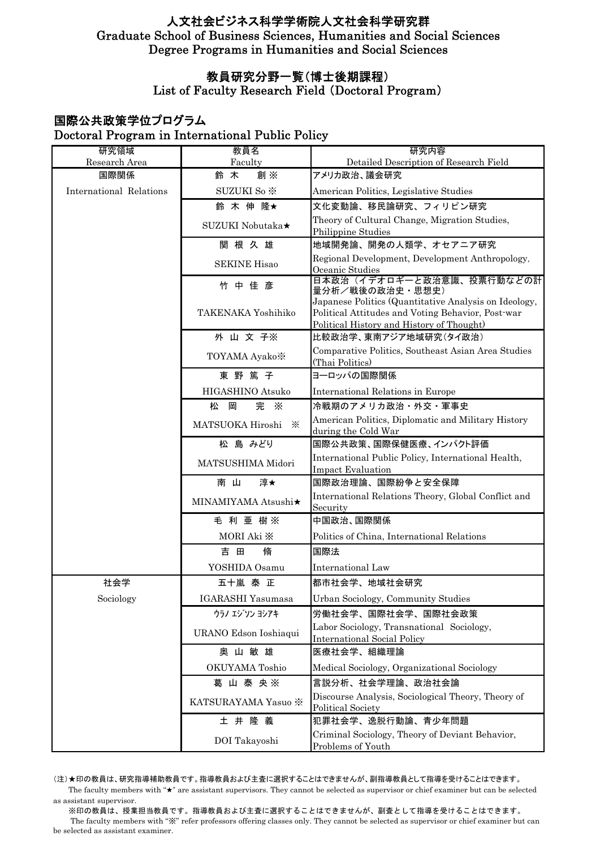# 教員研究分野一覧(博士後期課程)

List of Faculty Research Field (Doctoral Program)

# 国際公共政策学位プログラム Doctoral Program in International Public Policy

| 研究領域<br>Research Area   | 教員名<br>Faculty            | 研究内容<br>Detailed Description of Research Field                                                                                                          |
|-------------------------|---------------------------|---------------------------------------------------------------------------------------------------------------------------------------------------------|
| 国際関係                    | 創※<br>鈴 木                 | アメリカ政治、議会研究                                                                                                                                             |
| International Relations | SUZUKI So *               | American Politics, Legislative Studies                                                                                                                  |
|                         | 鈴 木 伸 隆★                  | 文化変動論、移民論研究、フィリピン研究                                                                                                                                     |
|                         | SUZUKI Nobutaka★          | Theory of Cultural Change, Migration Studies,<br>Philippine Studies                                                                                     |
|                         | 関根久雄                      | 地域開発論、開発の人類学、オセアニア研究                                                                                                                                    |
|                         | <b>SEKINE Hisao</b>       | Regional Development, Development Anthropology,<br>Oceanic Studies                                                                                      |
|                         | 竹中佳彦                      | 日本政治(イデオロギーと政治意識、投票行動などの計<br>量分析/戦後の政治史·思想史)                                                                                                            |
|                         | <b>TAKENAKA Yoshihiko</b> | Japanese Politics (Quantitative Analysis on Ideology,<br>Political Attitudes and Voting Behavior, Post-war<br>Political History and History of Thought) |
|                         | 外 山 文 子※                  | 比較政治学、東南アジア地域研究(タイ政治)                                                                                                                                   |
|                         | TOYAMA Ayako <sup>*</sup> | Comparative Politics, Southeast Asian Area Studies<br>(Thai Politics)                                                                                   |
|                         | 東野篤子                      | ヨーロッパの国際関係                                                                                                                                              |
|                         | HIGASHINO Atsuko          | <b>International Relations in Europe</b>                                                                                                                |
|                         | 完<br>松<br>岡<br>$\times$   | 冷戦期のアメリカ政治・外交・軍事史                                                                                                                                       |
|                         | MATSUOKA Hiroshi<br>⋇     | American Politics, Diplomatic and Military History<br>during the Cold War                                                                               |
|                         | 松 島 みどり                   | 国際公共政策、国際保健医療、インパクト評価                                                                                                                                   |
|                         | MATSUSHIMA Midori         | International Public Policy, International Health,<br><b>Impact Evaluation</b>                                                                          |
|                         | 淳★<br>南 山                 | 国際政治理論、国際紛争と安全保障                                                                                                                                        |
|                         | MINAMIYAMA Atsushi★       | International Relations Theory, Global Conflict and<br>Security                                                                                         |
|                         | 毛利亜樹※                     | 中国政治、国際関係                                                                                                                                               |
|                         | MORI Aki X                | Politics of China, International Relations                                                                                                              |
|                         | 脩<br>吉田                   | 国際法                                                                                                                                                     |
|                         | YOSHIDA Osamu             | International Law                                                                                                                                       |
| 社会学                     | 五十嵐 泰 正                   | 都市社会学、地域社会研究                                                                                                                                            |
| Sociology               | IGARASHI Yasumasa         | Urban Sociology, Community Studies                                                                                                                      |
|                         | ウラノ エジリン ヨシアキ             | 労働社会学、国際社会学、国際社会政策                                                                                                                                      |
|                         | URANO Edson Ioshiaqui     | Labor Sociology, Transnational Sociology,<br><b>International Social Policy</b>                                                                         |
|                         | 奥山敏雄                      | 医療社会学、組織理論                                                                                                                                              |
|                         | OKUYAMA Toshio            | Medical Sociology, Organizational Sociology                                                                                                             |
|                         | 葛山泰央※                     | 言説分析、社会学理論、政治社会論                                                                                                                                        |
|                         | KATSURAYAMA Yasuo ※       | Discourse Analysis, Sociological Theory, Theory of<br>Political Society                                                                                 |
|                         | 土井隆義                      | 犯罪社会学、逸脱行動論、青少年問題                                                                                                                                       |
|                         | DOI Takayoshi             | Criminal Sociology, Theory of Deviant Behavior,<br>Problems of Youth                                                                                    |

(注)★印の教員は、研究指導補助教員です。指導教員および主査に選択することはできませんが、副指導教員として指導を受けることはできます。 The faculty members with "★" are assistant supervisors. They cannot be selected as supervisor or chief examiner but can be selected as assistant supervisor.

 ※印の教員は、授業担当教員です。指導教員および主査に選択することはできませんが、副査として指導を受けることはできます。 The faculty members with "※" refer professors offering classes only. They cannot be selected as supervisor or chief examiner but can be selected as assistant examiner.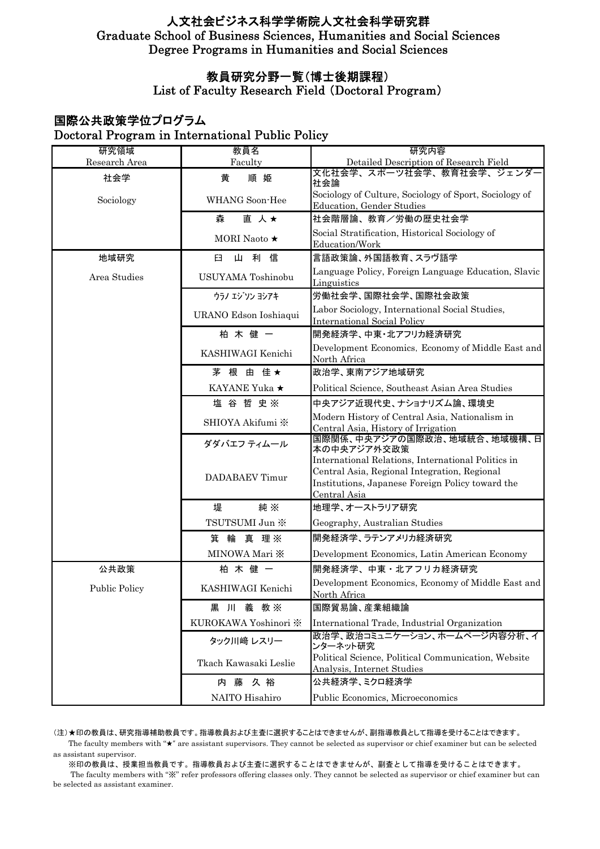# 教員研究分野一覧(博士後期課程)

List of Faculty Research Field (Doctoral Program)

# 国際公共政策学位プログラム Doctoral Program in International Public Policy

| 研究領域                 | 教員名                   | 研究内容                                                                                                                                                                   |
|----------------------|-----------------------|------------------------------------------------------------------------------------------------------------------------------------------------------------------------|
| Research Area        | Faculty               | Detailed Description of Research Field<br>文化社会学、スポーツ社会学、教育社会学、ジェンダー                                                                                                    |
| 社会学                  | 順姫<br>黄               | 社会論                                                                                                                                                                    |
| Sociology            | WHANG Soon-Hee        | Sociology of Culture, Sociology of Sport, Sociology of<br>Education, Gender Studies                                                                                    |
|                      | 直 人★<br>森             | 社会階層論、教育/労働の歴史社会学                                                                                                                                                      |
|                      | MORI Naoto ★          | Social Stratification, Historical Sociology of<br>Education/Work                                                                                                       |
| 地域研究                 | Щ<br>利<br>信<br>臼      | 言語政策論、外国語教育、スラヴ語学                                                                                                                                                      |
| Area Studies         | USUYAMA Toshinobu     | Language Policy, Foreign Language Education, Slavic<br>Linguistics                                                                                                     |
|                      | ウラノ エジソン ヨシアキ         | 労働社会学、国際社会学、国際社会政策                                                                                                                                                     |
|                      | URANO Edson Ioshiaqui | Labor Sociology, International Social Studies,<br><b>International Social Policy</b>                                                                                   |
|                      | 柏木健一                  | 開発経済学、中東・北アフリカ経済研究                                                                                                                                                     |
|                      | KASHIWAGI Kenichi     | Development Economics, Economy of Middle East and<br>North Africa                                                                                                      |
|                      | 茅 根 由 佳★              | 政治学、東南アジア地域研究                                                                                                                                                          |
|                      | KAYANE Yuka ★         | Political Science, Southeast Asian Area Studies                                                                                                                        |
|                      | 塩谷哲史※                 | 中央アジア近現代史、ナショナリズム論、環境史                                                                                                                                                 |
|                      | SHIOYA Akifumi *      | Modern History of Central Asia, Nationalism in<br>Central Asia, History of Irrigation                                                                                  |
|                      | ダダバエフ ティムール           | 国際関係、中央アジアの国際政治、地域統合、地域機構、日<br>本の中央アジア外交政策                                                                                                                             |
|                      | DADABAEV Timur        | International Relations, International Politics in<br>Central Asia, Regional Integration, Regional<br>Institutions, Japanese Foreign Policy toward the<br>Central Asia |
|                      | 堤<br>純※               | 地理学、オーストラリア研究                                                                                                                                                          |
|                      | TSUTSUMI Jun ※        | Geography, Australian Studies                                                                                                                                          |
|                      | 箕輪 真理※                | 開発経済学、ラテンアメリカ経済研究                                                                                                                                                      |
|                      | MINOWA Mari X         | Development Economics, Latin American Economy                                                                                                                          |
| 公共政策                 | 柏木健一                  | 開発経済学、中東・北アフリカ経済研究                                                                                                                                                     |
| <b>Public Policy</b> | KASHIWAGI Kenichi     | Development Economics, Economy of Middle East and<br>North Africa                                                                                                      |
|                      | 黒 川 義 教※              | 国際貿易論、産業組織論                                                                                                                                                            |
|                      | KUROKAWA Yoshinori ※  | International Trade, Industrial Organization                                                                                                                           |
|                      | タック川﨑 レスリー            | 政治学、政治コミュニケーション、ホームページ内容分析、イ<br>ンターネット研究                                                                                                                               |
|                      | Tkach Kawasaki Leslie | Political Science, Political Communication, Website<br>Analysis, Internet Studies                                                                                      |
|                      | 内藤<br>久裕              | 公共経済学、ミクロ経済学                                                                                                                                                           |
|                      | NAITO Hisahiro        | Public Economics, Microeconomics                                                                                                                                       |

(注)★印の教員は、研究指導補助教員です。指導教員および主査に選択することはできませんが、副指導教員として指導を受けることはできます。

 The faculty members with "★" are assistant supervisors. They cannot be selected as supervisor or chief examiner but can be selected as assistant supervisor.

 ※印の教員は、授業担当教員です。指導教員および主査に選択することはできませんが、副査として指導を受けることはできます。 The faculty members with "※" refer professors offering classes only. They cannot be selected as supervisor or chief examiner but can be selected as assistant examiner.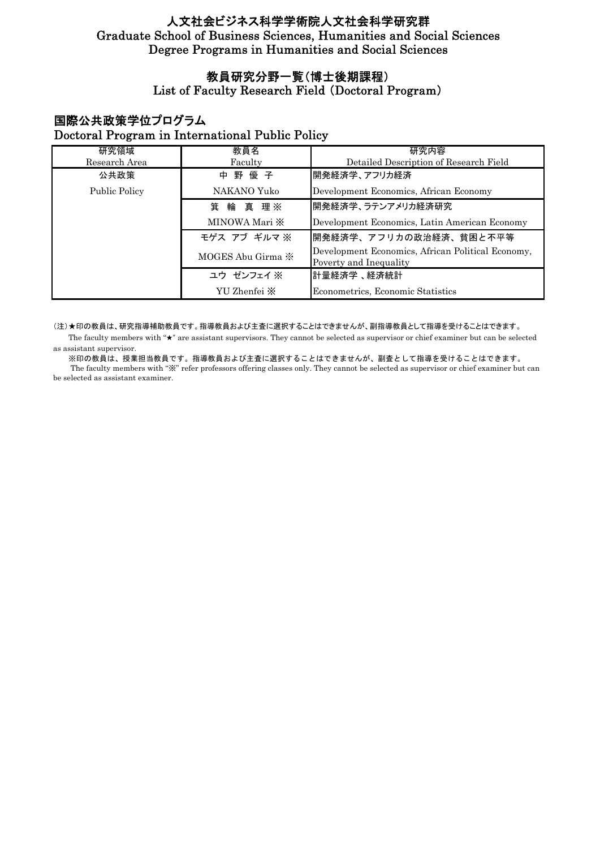# 教員研究分野一覧(博士後期課程)

# List of Faculty Research Field (Doctoral Program)

# 国際公共政策学位プログラム Doctoral Program in International Public Policy

| 研究領域                 | 教員名                         | 研究内容                                                                        |
|----------------------|-----------------------------|-----------------------------------------------------------------------------|
| Research Area        | Faculty                     | Detailed Description of Research Field                                      |
| 公共政策                 | 中野優子                        | 開発経済学、アフリカ経済                                                                |
| <b>Public Policy</b> | NAKANO Yuko                 | Development Economics, African Economy                                      |
|                      | 箕 輪 真 理※                    | 開発経済学、ラテンアメリカ経済研究                                                           |
|                      | MINOWA Mari $\mathbb{X}$    | Development Economics, Latin American Economy                               |
|                      | モゲス アブ ギルマ ※                | 開発経済学、アフリカの政治経済、貧困と不平等                                                      |
|                      | MOGES Abu Girma $\mathbb X$ | Development Economics, African Political Economy,<br>Poverty and Inequality |
|                      | ユウ ゼンフェイ ※                  | 計量経済学、経済統計                                                                  |
|                      | YU Zhenfei X                | Econometrics, Economic Statistics                                           |

#### (注)★印の教員は、研究指導補助教員です。指導教員および主査に選択することはできませんが、副指導教員として指導を受けることはできます。

 The faculty members with "★" are assistant supervisors. They cannot be selected as supervisor or chief examiner but can be selected as assistant supervisor.

 ※印の教員は、授業担当教員です。指導教員および主査に選択することはできませんが、副査として指導を受けることはできます。 The faculty members with "※" refer professors offering classes only. They cannot be selected as supervisor or chief examiner but can be selected as assistant examiner.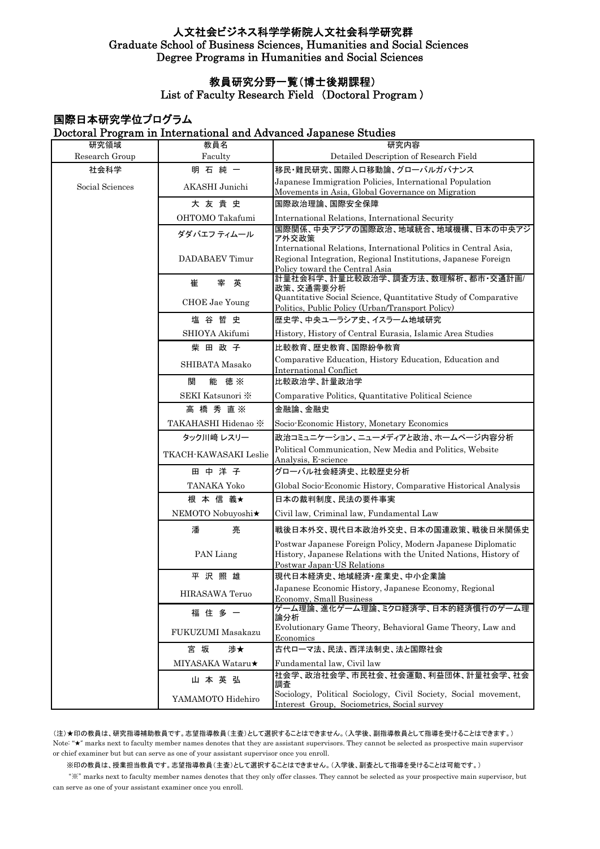# 教員研究分野一覧(博士後期課程)

List of Faculty Research Field (Doctoral Program )

|                 |                            | Doctoral Program in International and Advanced Japanese Studies                                                                                                     |
|-----------------|----------------------------|---------------------------------------------------------------------------------------------------------------------------------------------------------------------|
| 研究領域            | 教員名                        | 研究内容                                                                                                                                                                |
| Research Group  | Faculty                    | Detailed Description of Research Field                                                                                                                              |
| 社会科学            | 明石純一                       | 移民・難民研究、国際人口移動論、グローバルガバナンス                                                                                                                                          |
| Social Sciences | AKASHI Junichi             | Japanese Immigration Policies, International Population<br>Movements in Asia, Global Governance on Migration                                                        |
|                 | 大友貴史                       | 国際政治理論、国際安全保障                                                                                                                                                       |
|                 | OHTOMO Takafumi            | International Relations, International Security                                                                                                                     |
|                 | ダダバエフ ティムール                | 国際関係、中央アジアの国際政治、地域統合、地域機構、日本の中央アジ<br>ア外交政策                                                                                                                          |
|                 | DADABAEV Timur             | International Relations, International Politics in Central Asia,<br>Regional Integration, Regional Institutions, Japanese Foreign<br>Policy toward the Central Asia |
|                 | 崔<br>宰英                    | 計量社会科学、計量比較政治学、調査方法、数理解析、都市·交通計画/<br>政策、交通需要分析                                                                                                                      |
|                 | <b>CHOE</b> Jae Young      | Quantitative Social Science, Quantitative Study of Comparative<br>Politics, Public Policy (Urban/Transport Policy)                                                  |
|                 | 塩谷哲史                       | 歴史学、中央ユーラシア史、イスラーム地域研究                                                                                                                                              |
|                 | SHIOYA Akifumi             | History, History of Central Eurasia, Islamic Area Studies                                                                                                           |
|                 | 柴田政子                       | 比較教育、歴史教育、国際紛争教育                                                                                                                                                    |
|                 | SHIBATA Masako             | Comparative Education, History Education, Education and<br><b>International Conflict</b>                                                                            |
|                 | 能 徳 ※<br>関                 | 比較政治学、計量政治学                                                                                                                                                         |
|                 | SEKI Katsunori *           | Comparative Politics, Quantitative Political Science                                                                                                                |
|                 | 高橋秀直※                      | 金融論、金融史                                                                                                                                                             |
|                 | <b>TAKAHASHI Hidenao ※</b> | Socio-Economic History, Monetary Economics                                                                                                                          |
|                 | タック川﨑 レスリー                 | 政治コミュニケーション、ニューメディアと政治、ホームページ内容分析                                                                                                                                   |
|                 | TKACH-KAWASAKI Leslie      | Political Communication, New Media and Politics, Website<br>Analysis, E-science                                                                                     |
|                 | 田中洋子                       | グローバル社会経済史、比較歴史分析                                                                                                                                                   |
|                 | TANAKA Yoko                | Global Socio Economic History, Comparative Historical Analysis                                                                                                      |
|                 | 根 本 信 義★                   | 日本の裁判制度、民法の要件事実                                                                                                                                                     |
|                 | NEMOTO Nobuyoshi★          | Civil law, Criminal law, Fundamental Law                                                                                                                            |
|                 | 潘<br>亮                     | 戦後日本外交、現代日本政治外交史、日本の国連政策、戦後日米関係史                                                                                                                                    |
|                 | PAN Liang                  | Postwar Japanese Foreign Policy, Modern Japanese Diplomatic<br>History, Japanese Relations with the United Nations, History of<br>Postwar Japan-US Relations        |
|                 | 平沢照雄                       | 現代日本経済史、地域経済・産業史、中小企業論                                                                                                                                              |
|                 | HIRASAWA Teruo             | Japanese Economic History, Japanese Economy, Regional<br>Economy, Small Business                                                                                    |
|                 | 福住多一                       | ゲーム理論、進化ゲーム理論、ミクロ経済学、日本的経済慣行のゲーム理<br>論分析                                                                                                                            |
|                 | FUKUZUMI Masakazu          | Evolutionary Game Theory, Behavioral Game Theory, Law and<br>Economics                                                                                              |
|                 | 渉★<br>宮 坂                  | 古代ローマ法、民法、西洋法制史、法と国際社会                                                                                                                                              |
|                 | MIYASAKA Wataru★           | Fundamental law, Civil law                                                                                                                                          |
|                 | 山本英弘                       | 社会学、政治社会学、市民社会、社会運動、利益団体、計量社会学、社会<br>調査                                                                                                                             |
|                 | YAMAMOTO Hidehiro          | Sociology, Political Sociology, Civil Society, Social movement,<br>Interest Group, Sociometrics, Social survey                                                      |

### 国際日本研究学位プログラム Doctoral Program in International and Advanced Japanese Studies

(注)★印の教員は、研究指導補助教員です。志望指導教員(主査)として選択することはできません。(入学後、副指導教員として指導を受けることはできます。) Note: " $\star$ " marks next to faculty member names denotes that they are assistant supervisors. They cannot be selected as prospective main supervisor or chief examiner but but can serve as one of your assistant supervisor once you enroll.

※印の教員は、授業担当教員です。志望指導教員(主査)として選択することはできません。(入学後、副査として指導を受けることは可能です。)

 "※" marks next to faculty member names denotes that they only offer classes. They cannot be selected as your prospective main supervisor, but can serve as one of your assistant examiner once you enroll.